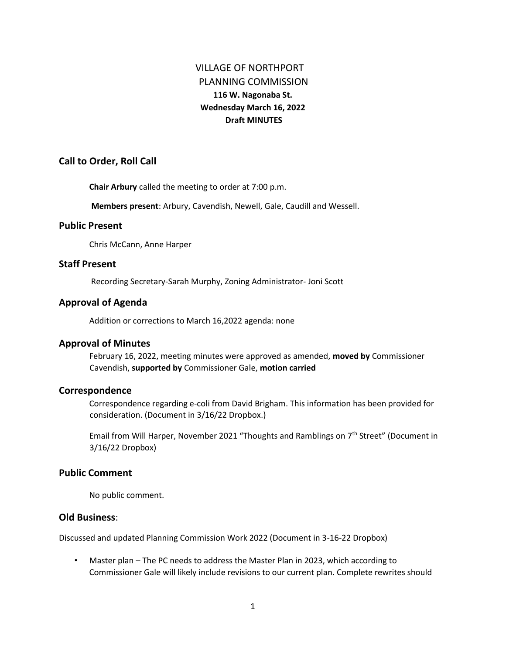# VILLAGE OF NORTHPORT PLANNING COMMISSION **116 W. Nagonaba St. Wednesday March 16, 2022 Draft MINUTES**

# **Call to Order, Roll Call**

**Chair Arbury** called the meeting to order at 7:00 p.m.

**Members present**: Arbury, Cavendish, Newell, Gale, Caudill and Wessell.

#### **Public Present**

Chris McCann, Anne Harper

# **Staff Present**

Recording Secretary-Sarah Murphy, Zoning Administrator- Joni Scott

# **Approval of Agenda**

Addition or corrections to March 16,2022 agenda: none

#### **Approval of Minutes**

February 16, 2022, meeting minutes were approved as amended, **moved by** Commissioner Cavendish, **supported by** Commissioner Gale, **motion carried** 

#### **Correspondence**

Correspondence regarding e-coli from David Brigham. This information has been provided for consideration. (Document in 3/16/22 Dropbox.)

Email from Will Harper, November 2021 "Thoughts and Ramblings on 7<sup>th</sup> Street" (Document in 3/16/22 Dropbox)

# **Public Comment**

No public comment.

# **Old Business**:

Discussed and updated Planning Commission Work 2022 (Document in 3-16-22 Dropbox)

• Master plan – The PC needs to address the Master Plan in 2023, which according to Commissioner Gale will likely include revisions to our current plan. Complete rewrites should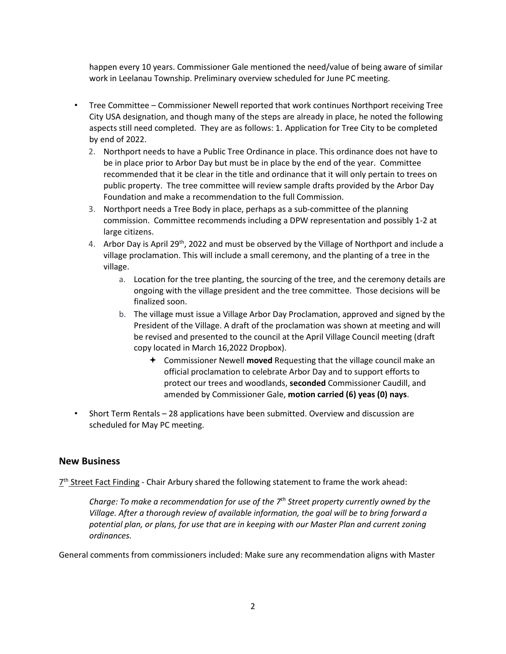happen every 10 years. Commissioner Gale mentioned the need/value of being aware of similar work in Leelanau Township. Preliminary overview scheduled for June PC meeting.

- Tree Committee Commissioner Newell reported that work continues Northport receiving Tree City USA designation, and though many of the steps are already in place, he noted the following aspects still need completed. They are as follows: 1. Application for Tree City to be completed by end of 2022.
	- 2. Northport needs to have a Public Tree Ordinance in place. This ordinance does not have to be in place prior to Arbor Day but must be in place by the end of the year. Committee recommended that it be clear in the title and ordinance that it will only pertain to trees on public property. The tree committee will review sample drafts provided by the Arbor Day Foundation and make a recommendation to the full Commission.
	- 3. Northport needs a Tree Body in place, perhaps as a sub-committee of the planning commission. Committee recommends including a DPW representation and possibly 1-2 at large citizens.
	- 4. Arbor Day is April 29<sup>th</sup>, 2022 and must be observed by the Village of Northport and include a village proclamation. This will include a small ceremony, and the planting of a tree in the village.
		- a. Location for the tree planting, the sourcing of the tree, and the ceremony details are ongoing with the village president and the tree committee. Those decisions will be finalized soon.
		- b. The village must issue a Village Arbor Day Proclamation, approved and signed by the President of the Village. A draft of the proclamation was shown at meeting and will be revised and presented to the council at the April Village Council meeting (draft copy located in March 16,2022 Dropbox).
			- Commissioner Newell **moved** Requesting that the village council make an official proclamation to celebrate Arbor Day and to support efforts to protect our trees and woodlands, **seconded** Commissioner Caudill, and amended by Commissioner Gale, **motion carried (6) yeas (0) nays**.
- Short Term Rentals 28 applications have been submitted. Overview and discussion are scheduled for May PC meeting.

#### **New Business**

 $7<sup>th</sup>$  Street Fact Finding - Chair Arbury shared the following statement to frame the work ahead:

*Charge: To make a recommendation for use of the 7th Street property currently owned by the Village. After a thorough review of available information, the goal will be to bring forward a potential plan, or plans, for use that are in keeping with our Master Plan and current zoning ordinances.* 

General comments from commissioners included: Make sure any recommendation aligns with Master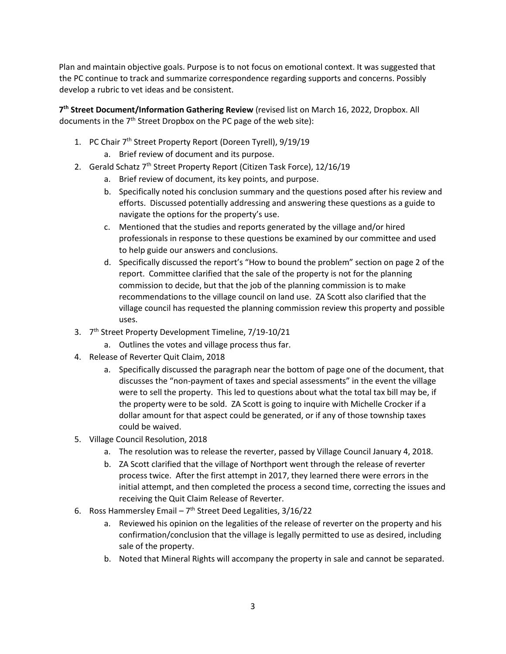Plan and maintain objective goals. Purpose is to not focus on emotional context. It was suggested that the PC continue to track and summarize correspondence regarding supports and concerns. Possibly develop a rubric to vet ideas and be consistent.

**7 th Street Document/Information Gathering Review** (revised list on March 16, 2022, Dropbox. All documents in the 7<sup>th</sup> Street Dropbox on the PC page of the web site):

- 1. PC Chair 7<sup>th</sup> Street Property Report (Doreen Tyrell), 9/19/19
	- a. Brief review of document and its purpose.
- 2. Gerald Schatz 7<sup>th</sup> Street Property Report (Citizen Task Force), 12/16/19
	- a. Brief review of document, its key points, and purpose.
	- b. Specifically noted his conclusion summary and the questions posed after his review and efforts. Discussed potentially addressing and answering these questions as a guide to navigate the options for the property's use.
	- c. Mentioned that the studies and reports generated by the village and/or hired professionals in response to these questions be examined by our committee and used to help guide our answers and conclusions.
	- d. Specifically discussed the report's "How to bound the problem" section on page 2 of the report. Committee clarified that the sale of the property is not for the planning commission to decide, but that the job of the planning commission is to make recommendations to the village council on land use. ZA Scott also clarified that the village council has requested the planning commission review this property and possible uses.
- 3. 7<sup>th</sup> Street Property Development Timeline, 7/19-10/21
	- a. Outlines the votes and village process thus far.
- 4. Release of Reverter Quit Claim, 2018
	- a. Specifically discussed the paragraph near the bottom of page one of the document, that discusses the "non-payment of taxes and special assessments" in the event the village were to sell the property. This led to questions about what the total tax bill may be, if the property were to be sold. ZA Scott is going to inquire with Michelle Crocker if a dollar amount for that aspect could be generated, or if any of those township taxes could be waived.
- 5. Village Council Resolution, 2018
	- a. The resolution was to release the reverter, passed by Village Council January 4, 2018.
	- b. ZA Scott clarified that the village of Northport went through the release of reverter process twice. After the first attempt in 2017, they learned there were errors in the initial attempt, and then completed the process a second time, correcting the issues and receiving the Quit Claim Release of Reverter.
- 6. Ross Hammersley Email  $-7<sup>th</sup>$  Street Deed Legalities, 3/16/22
	- a. Reviewed his opinion on the legalities of the release of reverter on the property and his confirmation/conclusion that the village is legally permitted to use as desired, including sale of the property.
	- b. Noted that Mineral Rights will accompany the property in sale and cannot be separated.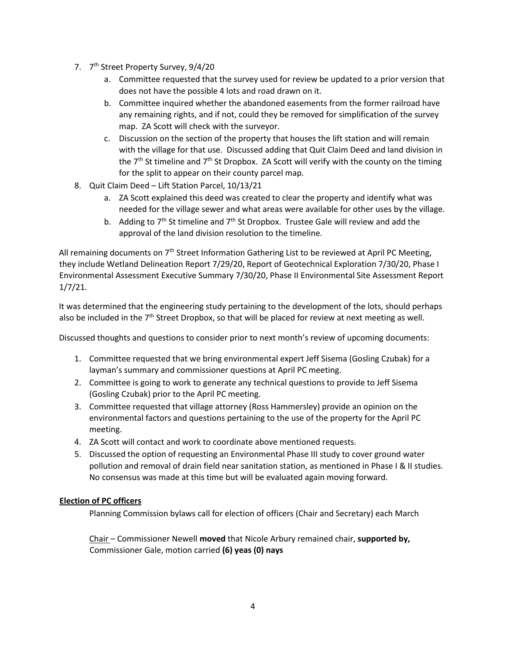- 7. 7<sup>th</sup> Street Property Survey, 9/4/20
	- a. Committee requested that the survey used for review be updated to a prior version that does not have the possible 4 lots and road drawn on it.
	- b. Committee inquired whether the abandoned easements from the former railroad have any remaining rights, and if not, could they be removed for simplification of the survey map. ZA Scott will check with the surveyor.
	- c. Discussion on the section of the property that houses the lift station and will remain with the village for that use. Discussed adding that Quit Claim Deed and land division in the  $7<sup>th</sup>$  St timeline and  $7<sup>th</sup>$  St Dropbox. ZA Scott will verify with the county on the timing for the split to appear on their county parcel map.
- 8. Quit Claim Deed Lift Station Parcel, 10/13/21
	- a. ZA Scott explained this deed was created to clear the property and identify what was needed for the village sewer and what areas were available for other uses by the village.
	- b. Adding to  $7<sup>th</sup>$  St timeline and  $7<sup>th</sup>$  St Dropbox. Trustee Gale will review and add the approval of the land division resolution to the timeline.

All remaining documents on  $7<sup>th</sup>$  Street Information Gathering List to be reviewed at April PC Meeting, they include Wetland Delineation Report 7/29/20, Report of Geotechnical Exploration 7/30/20, Phase I Environmental Assessment Executive Summary 7/30/20, Phase II Environmental Site Assessment Report 1/7/21.

It was determined that the engineering study pertaining to the development of the lots, should perhaps also be included in the  $7<sup>th</sup>$  Street Dropbox, so that will be placed for review at next meeting as well.

Discussed thoughts and questions to consider prior to next month's review of upcoming documents:

- 1. Committee requested that we bring environmental expert Jeff Sisema (Gosling Czubak) for a layman's summary and commissioner questions at April PC meeting.
- 2. Committee is going to work to generate any technical questions to provide to Jeff Sisema (Gosling Czubak) prior to the April PC meeting.
- 3. Committee requested that village attorney (Ross Hammersley) provide an opinion on the environmental factors and questions pertaining to the use of the property for the April PC meeting.
- 4. ZA Scott will contact and work to coordinate above mentioned requests.
- 5. Discussed the option of requesting an Environmental Phase III study to cover ground water pollution and removal of drain field near sanitation station, as mentioned in Phase I & II studies. No consensus was made at this time but will be evaluated again moving forward.

#### **Election of PC officers**

Planning Commission bylaws call for election of officers (Chair and Secretary) each March

Chair – Commissioner Newell **moved** that Nicole Arbury remained chair, **supported by,**  Commissioner Gale, motion carried **(6) yeas (0) nays**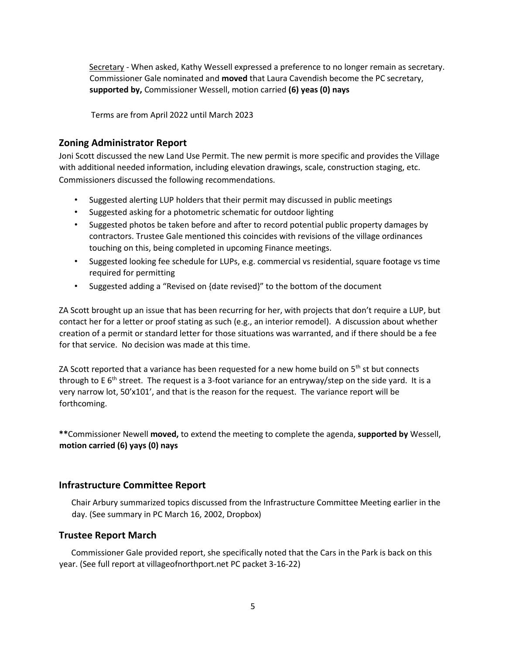Secretary - When asked, Kathy Wessell expressed a preference to no longer remain as secretary. Commissioner Gale nominated and **moved** that Laura Cavendish become the PC secretary, **supported by,** Commissioner Wessell, motion carried **(6) yeas (0) nays** 

Terms are from April 2022 until March 2023

# **Zoning Administrator Report**

Joni Scott discussed the new Land Use Permit. The new permit is more specific and provides the Village with additional needed information, including elevation drawings, scale, construction staging, etc. Commissioners discussed the following recommendations.

- Suggested alerting LUP holders that their permit may discussed in public meetings
- Suggested asking for a photometric schematic for outdoor lighting
- Suggested photos be taken before and after to record potential public property damages by contractors. Trustee Gale mentioned this coincides with revisions of the village ordinances touching on this, being completed in upcoming Finance meetings.
- Suggested looking fee schedule for LUPs, e.g. commercial vs residential, square footage vs time required for permitting
- Suggested adding a "Revised on {date revised}" to the bottom of the document

ZA Scott brought up an issue that has been recurring for her, with projects that don't require a LUP, but contact her for a letter or proof stating as such (e.g., an interior remodel). A discussion about whether creation of a permit or standard letter for those situations was warranted, and if there should be a fee for that service. No decision was made at this time.

ZA Scott reported that a variance has been requested for a new home build on  $5<sup>th</sup>$  st but connects through to E  $6<sup>th</sup>$  street. The request is a 3-foot variance for an entryway/step on the side yard. It is a very narrow lot, 50'x101', and that is the reason for the request. The variance report will be forthcoming.

**\*\***Commissioner Newell **moved,** to extend the meeting to complete the agenda, **supported by** Wessell, **motion carried (6) yays (0) nays** 

# **Infrastructure Committee Report**

Chair Arbury summarized topics discussed from the Infrastructure Committee Meeting earlier in the day. (See summary in PC March 16, 2002, Dropbox)

# **Trustee Report March**

 Commissioner Gale provided report, she specifically noted that the Cars in the Park is back on this year. (See full report at villageofnorthport.net PC packet 3-16-22)